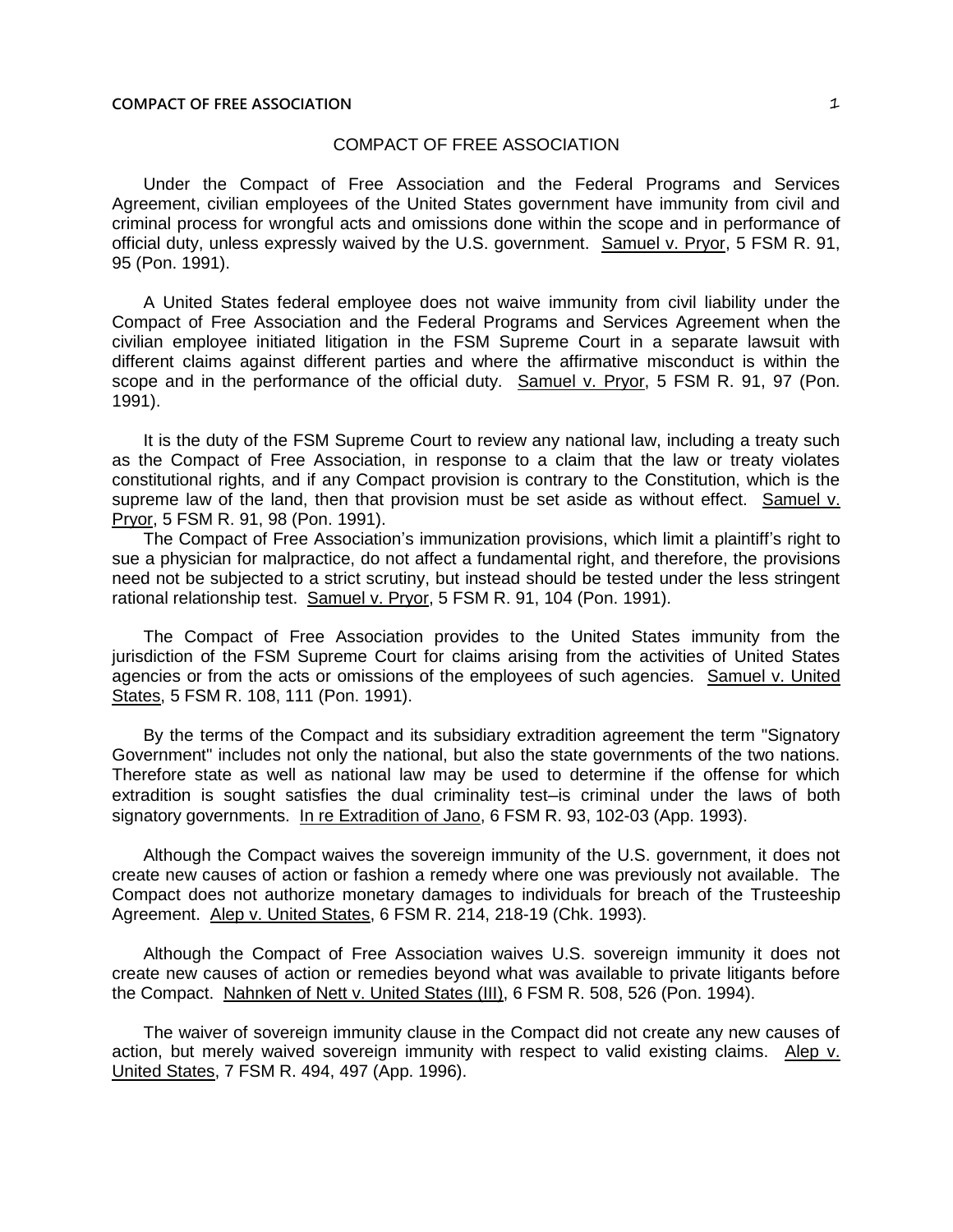## COMPACT OF FREE ASSOCIATION

Under the Compact of Free Association and the Federal Programs and Services Agreement, civilian employees of the United States government have immunity from civil and criminal process for wrongful acts and omissions done within the scope and in performance of official duty, unless expressly waived by the U.S. government. Samuel v. Pryor, 5 FSM R. 91, 95 (Pon. 1991).

A United States federal employee does not waive immunity from civil liability under the Compact of Free Association and the Federal Programs and Services Agreement when the civilian employee initiated litigation in the FSM Supreme Court in a separate lawsuit with different claims against different parties and where the affirmative misconduct is within the scope and in the performance of the official duty. Samuel v. Pryor, 5 FSM R. 91, 97 (Pon. 1991).

It is the duty of the FSM Supreme Court to review any national law, including a treaty such as the Compact of Free Association, in response to a claim that the law or treaty violates constitutional rights, and if any Compact provision is contrary to the Constitution, which is the supreme law of the land, then that provision must be set aside as without effect. Samuel v. Pryor, 5 FSM R. 91, 98 (Pon. 1991).

The Compact of Free Association's immunization provisions, which limit a plaintiff's right to sue a physician for malpractice, do not affect a fundamental right, and therefore, the provisions need not be subjected to a strict scrutiny, but instead should be tested under the less stringent rational relationship test. Samuel v. Pryor, 5 FSM R. 91, 104 (Pon. 1991).

The Compact of Free Association provides to the United States immunity from the jurisdiction of the FSM Supreme Court for claims arising from the activities of United States agencies or from the acts or omissions of the employees of such agencies. Samuel v. United States, 5 FSM R. 108, 111 (Pon. 1991).

By the terms of the Compact and its subsidiary extradition agreement the term "Signatory Government" includes not only the national, but also the state governments of the two nations. Therefore state as well as national law may be used to determine if the offense for which extradition is sought satisfies the dual criminality test-is criminal under the laws of both signatory governments. In re Extradition of Jano, 6 FSM R. 93, 102-03 (App. 1993).

Although the Compact waives the sovereign immunity of the U.S. government, it does not create new causes of action or fashion a remedy where one was previously not available. The Compact does not authorize monetary damages to individuals for breach of the Trusteeship Agreement. Alep v. United States, 6 FSM R. 214, 218-19 (Chk. 1993).

Although the Compact of Free Association waives U.S. sovereign immunity it does not create new causes of action or remedies beyond what was available to private litigants before the Compact. Nahnken of Nett v. United States (III), 6 FSM R. 508, 526 (Pon. 1994).

The waiver of sovereign immunity clause in the Compact did not create any new causes of action, but merely waived sovereign immunity with respect to valid existing claims. Alep v. United States, 7 FSM R. 494, 497 (App. 1996).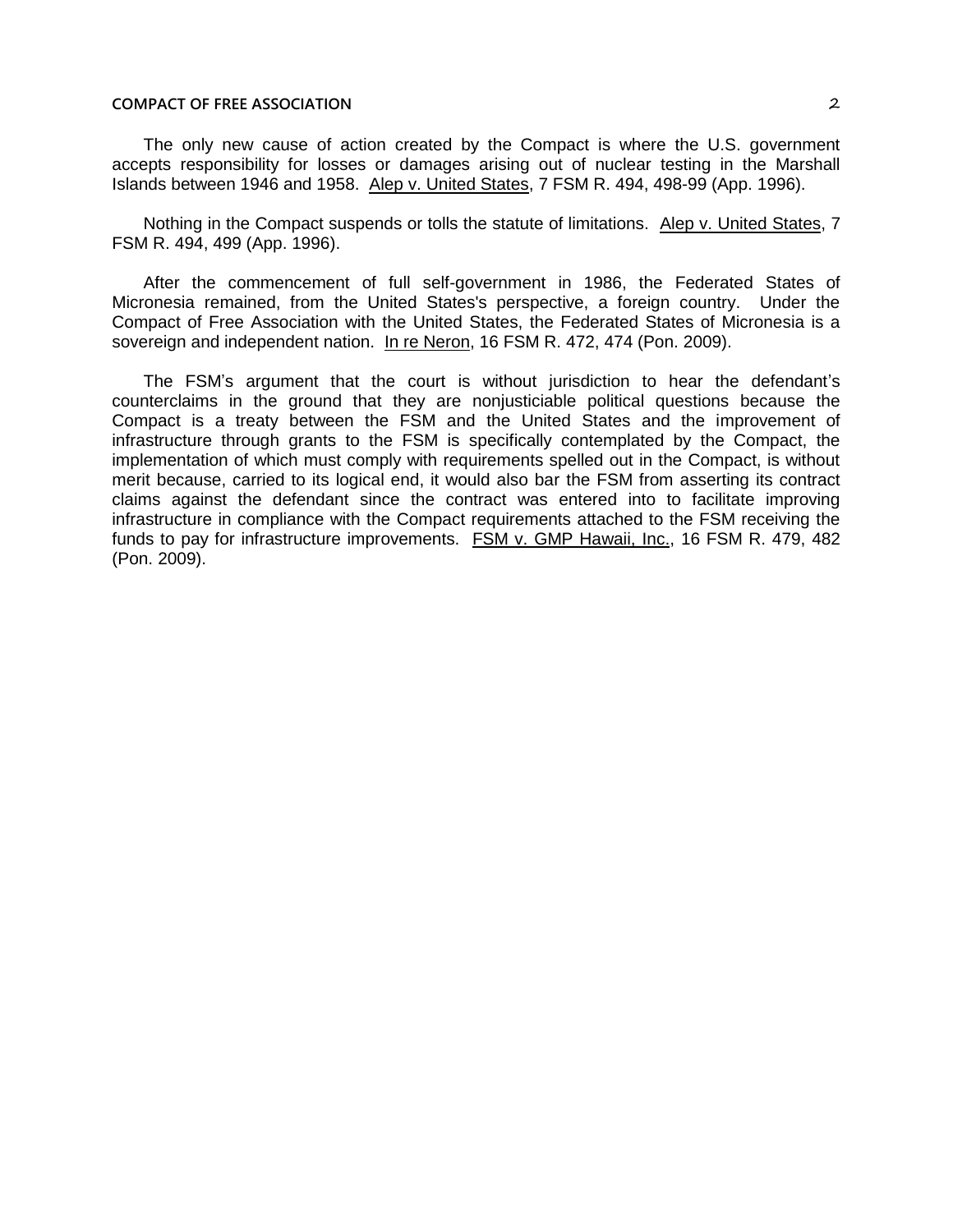## **COMPACT OF FREE ASSOCIATION** 2

The only new cause of action created by the Compact is where the U.S. government accepts responsibility for losses or damages arising out of nuclear testing in the Marshall Islands between 1946 and 1958. Alep v. United States, 7 FSM R. 494, 498-99 (App. 1996).

Nothing in the Compact suspends or tolls the statute of limitations. Alep v. United States, 7 FSM R. 494, 499 (App. 1996).

After the commencement of full self-government in 1986, the Federated States of Micronesia remained, from the United States's perspective, a foreign country. Under the Compact of Free Association with the United States, the Federated States of Micronesia is a sovereign and independent nation. In re Neron, 16 FSM R. 472, 474 (Pon. 2009).

The FSM's argument that the court is without jurisdiction to hear the defendant's counterclaims in the ground that they are nonjusticiable political questions because the Compact is a treaty between the FSM and the United States and the improvement of infrastructure through grants to the FSM is specifically contemplated by the Compact, the implementation of which must comply with requirements spelled out in the Compact, is without merit because, carried to its logical end, it would also bar the FSM from asserting its contract claims against the defendant since the contract was entered into to facilitate improving infrastructure in compliance with the Compact requirements attached to the FSM receiving the funds to pay for infrastructure improvements. FSM v. GMP Hawaii, Inc., 16 FSM R. 479, 482 (Pon. 2009).